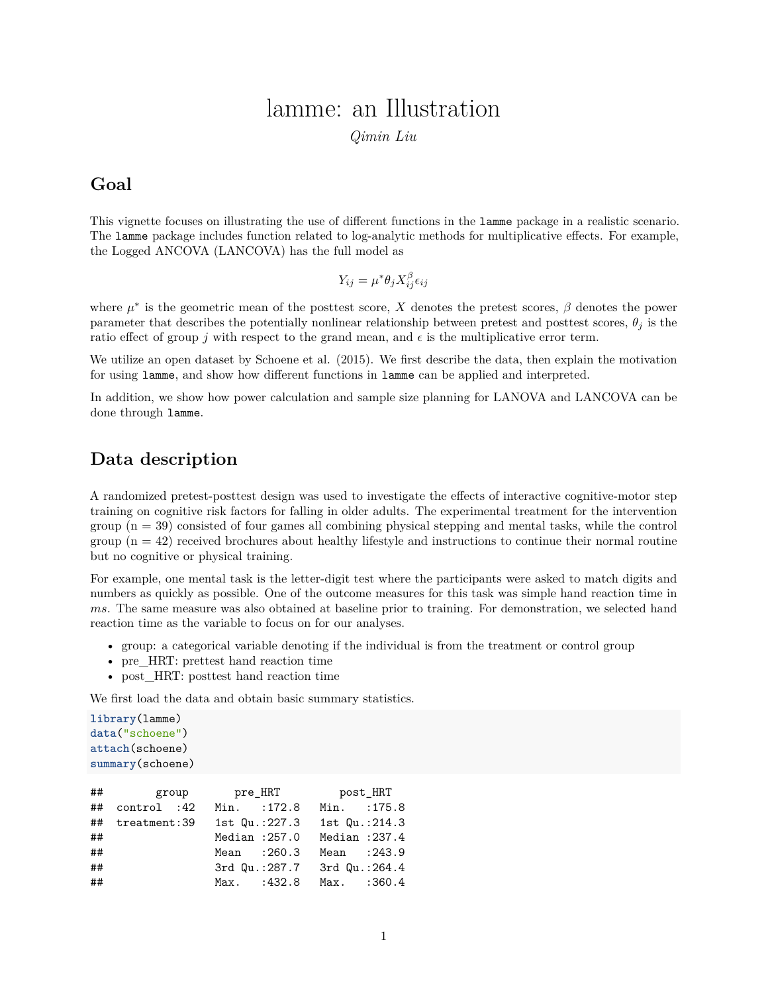# lamme: an Illustration

*Qimin Liu*

## **Goal**

This vignette focuses on illustrating the use of different functions in the lamme package in a realistic scenario. The lamme package includes function related to log-analytic methods for multiplicative effects. For example, the Logged ANCOVA (LANCOVA) has the full model as

$$
Y_{ij} = \mu^* \theta_j X_{ij}^{\beta} \epsilon_{ij}
$$

where  $\mu^*$  is the geometric mean of the posttest score, *X* denotes the pretest scores,  $\beta$  denotes the power parameter that describes the potentially nonlinear relationship between pretest and posttest scores,  $\theta_i$  is the ratio effect of group *j* with respect to the grand mean, and  $\epsilon$  is the multiplicative error term.

We utilize an open dataset by Schoene et al. (2015). We first describe the data, then explain the motivation for using lamme, and show how different functions in lamme can be applied and interpreted.

In addition, we show how power calculation and sample size planning for LANOVA and LANCOVA can be done through lamme.

## **Data description**

A randomized pretest-posttest design was used to investigate the effects of interactive cognitive-motor step training on cognitive risk factors for falling in older adults. The experimental treatment for the intervention group  $(n = 39)$  consisted of four games all combining physical stepping and mental tasks, while the control group  $(n = 42)$  received brochures about healthy lifestyle and instructions to continue their normal routine but no cognitive or physical training.

For example, one mental task is the letter-digit test where the participants were asked to match digits and numbers as quickly as possible. One of the outcome measures for this task was simple hand reaction time in *ms*. The same measure was also obtained at baseline prior to training. For demonstration, we selected hand reaction time as the variable to focus on for our analyses.

- group: a categorical variable denoting if the individual is from the treatment or control group
- pre\_HRT: prettest hand reaction time
- post\_HRT: posttest hand reaction time

We first load the data and obtain basic summary statistics.

```
library(lamme)
data("schoene")
attach(schoene)
summary(schoene)
```

|    |                 | ## group pre_HRT |  | post_HRT      |  |
|----|-----------------|------------------|--|---------------|--|
| ## | control :42     | Min. : 172.8     |  | Min. : 175.8  |  |
|    | ## treatment:39 | 1st Qu.:227.3    |  | 1st Qu.:214.3 |  |
| ## |                 | Median : 257.0   |  | Median :237.4 |  |
| ## |                 | Mean : 260.3     |  | Mean : 243.9  |  |
| ## |                 | 3rd Qu.:287.7    |  | 3rd Qu.:264.4 |  |
| ## |                 | $Max.$ : 432.8   |  | Max. : 360.4  |  |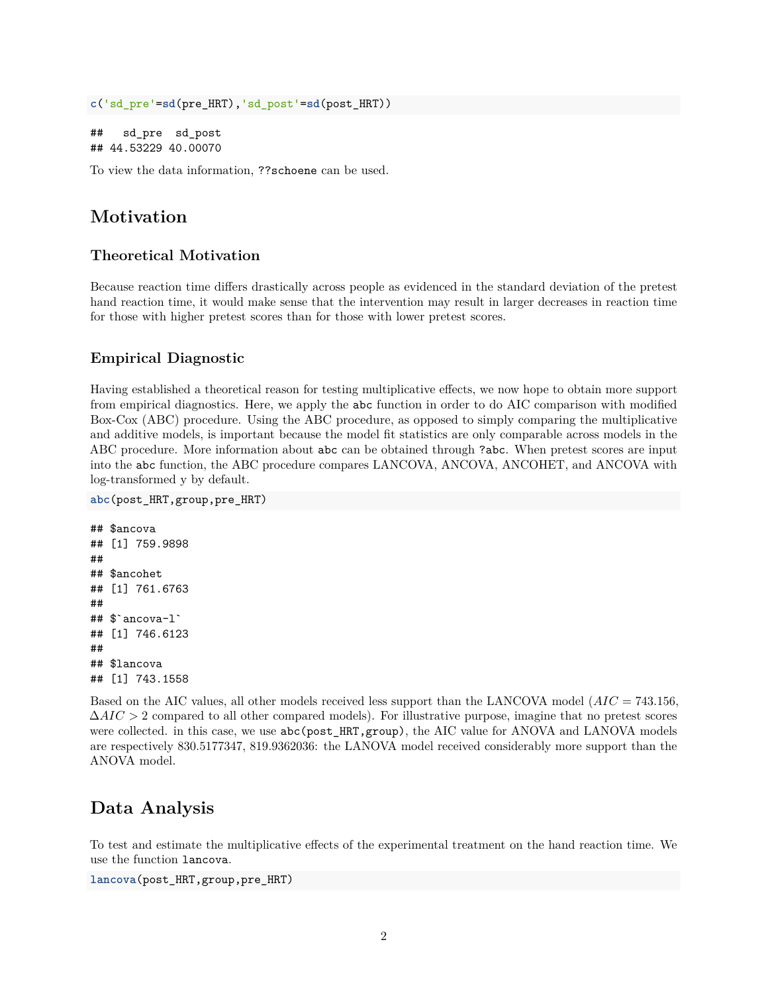```
c('sd_pre'=sd(pre_HRT),'sd_post'=sd(post_HRT))
```

```
## sd_pre sd_post
## 44.53229 40.00070
```
To view the data information, ??schoene can be used.

## **Motivation**

#### **Theoretical Motivation**

Because reaction time differs drastically across people as evidenced in the standard deviation of the pretest hand reaction time, it would make sense that the intervention may result in larger decreases in reaction time for those with higher pretest scores than for those with lower pretest scores.

#### **Empirical Diagnostic**

Having established a theoretical reason for testing multiplicative effects, we now hope to obtain more support from empirical diagnostics. Here, we apply the abc function in order to do AIC comparison with modified Box-Cox (ABC) procedure. Using the ABC procedure, as opposed to simply comparing the multiplicative and additive models, is important because the model fit statistics are only comparable across models in the ABC procedure. More information about abc can be obtained through ?abc. When pretest scores are input into the abc function, the ABC procedure compares LANCOVA, ANCOVA, ANCOHET, and ANCOVA with log-transformed y by default.

```
abc(post_HRT,group,pre_HRT)
```

```
## $ancova
## [1] 759.9898
##
## $ancohet
## [1] 761.6763
##
## $`ancova-l`
## [1] 746.6123
##
## $lancova
## [1] 743.1558
```
Based on the AIC values, all other models received less support than the LANCOVA model (*AIC* = 743*.*156, ∆*AIC >* 2 compared to all other compared models). For illustrative purpose, imagine that no pretest scores were collected. in this case, we use  $abc(post_HRT,group)$ , the AIC value for ANOVA and LANOVA models are respectively 830.5177347, 819.9362036: the LANOVA model received considerably more support than the ANOVA model.

## **Data Analysis**

To test and estimate the multiplicative effects of the experimental treatment on the hand reaction time. We use the function lancova.

```
lancova(post_HRT,group,pre_HRT)
```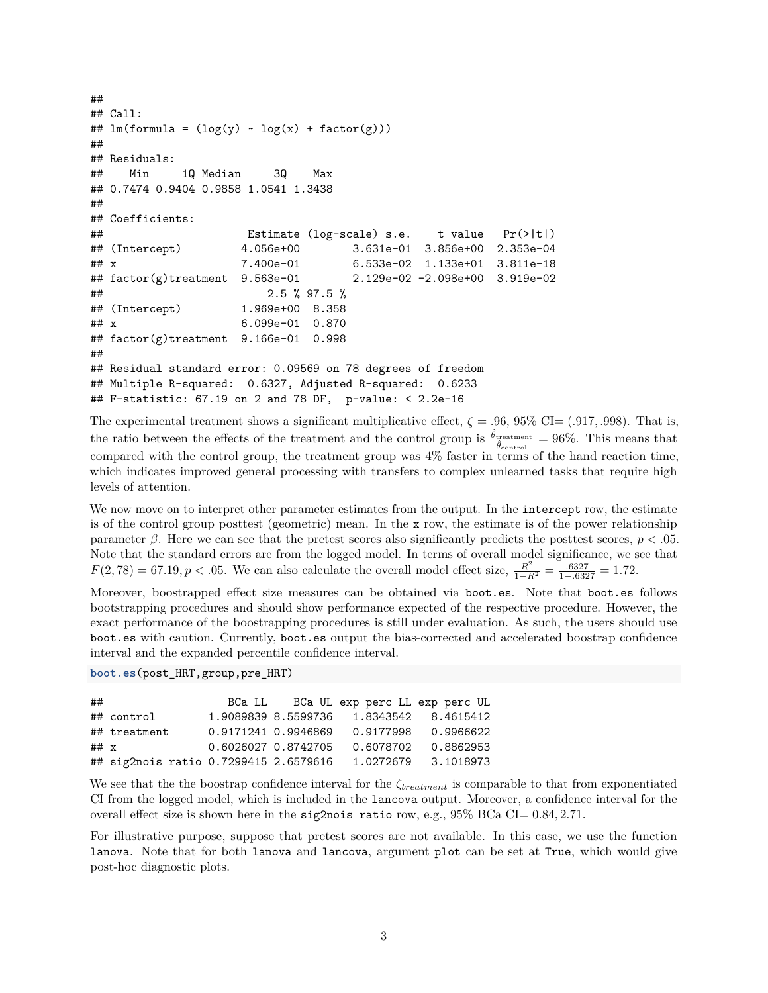```
##
## Call:
## lm(formula = (log(y) \sim log(x) + factor(g)))##
## Residuals:
## Min 1Q Median 3Q Max
## 0.7474 0.9404 0.9858 1.0541 1.3438
##
## Coefficients:
## Estimate (log-scale) s.e. t value Pr(>|t|)
## (Intercept) 4.056e+00 3.631e-01 3.856e+00 2.353e-04
## x 7.400e-01 6.533e-02 1.133e+01 3.811e-18
## factor(g)treatment 9.563e-01 2.129e-02 -2.098e+00 3.919e-02
## 2.5 % 97.5 %
## (Intercept) 1.969e+00 8.358
## x 6.099e-01 0.870
## factor(g)treatment 9.166e-01 0.998
##
## Residual standard error: 0.09569 on 78 degrees of freedom
## Multiple R-squared: 0.6327, Adjusted R-squared: 0.6233
## F-statistic: 67.19 on 2 and 78 DF, p-value: < 2.2e-16
```
The experimental treatment shows a significant multiplicative effect,  $\zeta = .96, 95\%$  CI= (.917, .998). That is, the ratio between the effects of the treatment and the control group is  $\frac{\hat{\theta}_{\text{treatment}}}{\hat{\theta}_{\text{control}}} = 96\%$ . This means that compared with the control group, the treatment group was 4% faster in terms of the hand reaction time, which indicates improved general processing with transfers to complex unlearned tasks that require high levels of attention.

We now move on to interpret other parameter estimates from the output. In the intercept row, the estimate is of the control group posttest (geometric) mean. In the x row, the estimate is of the power relationship parameter *β*. Here we can see that the pretest scores also significantly predicts the posttest scores, *p < .*05. Note that the standard errors are from the logged model. In terms of overall model significance, we see that  $F(2, 78) = 67.19, p < .05$ . We can also calculate the overall model effect size,  $\frac{R^2}{1-R^2} = \frac{.6327}{1-.6327} = 1.72$ .

Moreover, boostrapped effect size measures can be obtained via boot.es. Note that boot.es follows bootstrapping procedures and should show performance expected of the respective procedure. However, the exact performance of the boostrapping procedures is still under evaluation. As such, the users should use boot.es with caution. Currently, boot.es output the bias-corrected and accelerated boostrap confidence interval and the expanded percentile confidence interval.

**boot.es**(post\_HRT,group,pre\_HRT)

| ##     |                                       | BCa LL              |                     | BCa UL exp perc LL exp perc UL |                     |
|--------|---------------------------------------|---------------------|---------------------|--------------------------------|---------------------|
|        | ## control                            |                     | 1.9089839 8.5599736 |                                | 1.8343542 8.4615412 |
|        | ## treatment                          | 0.9171241 0.9946869 |                     | 0.9177998                      | 0.9966622           |
| ## $x$ |                                       | 0.6026027 0.8742705 |                     | 0.6078702                      | 0.8862953           |
|        | ## sig2nois ratio 0.7299415 2.6579616 |                     |                     | 1.0272679                      | 3.1018973           |

We see that the the boostrap confidence interval for the *ζtreatment* is comparable to that from exponentiated CI from the logged model, which is included in the lancova output. Moreover, a confidence interval for the overall effect size is shown here in the sig2nois ratio row, e.g., 95% BCa CI= 0*.*84*,* 2*.*71.

For illustrative purpose, suppose that pretest scores are not available. In this case, we use the function lanova. Note that for both lanova and lancova, argument plot can be set at True, which would give post-hoc diagnostic plots.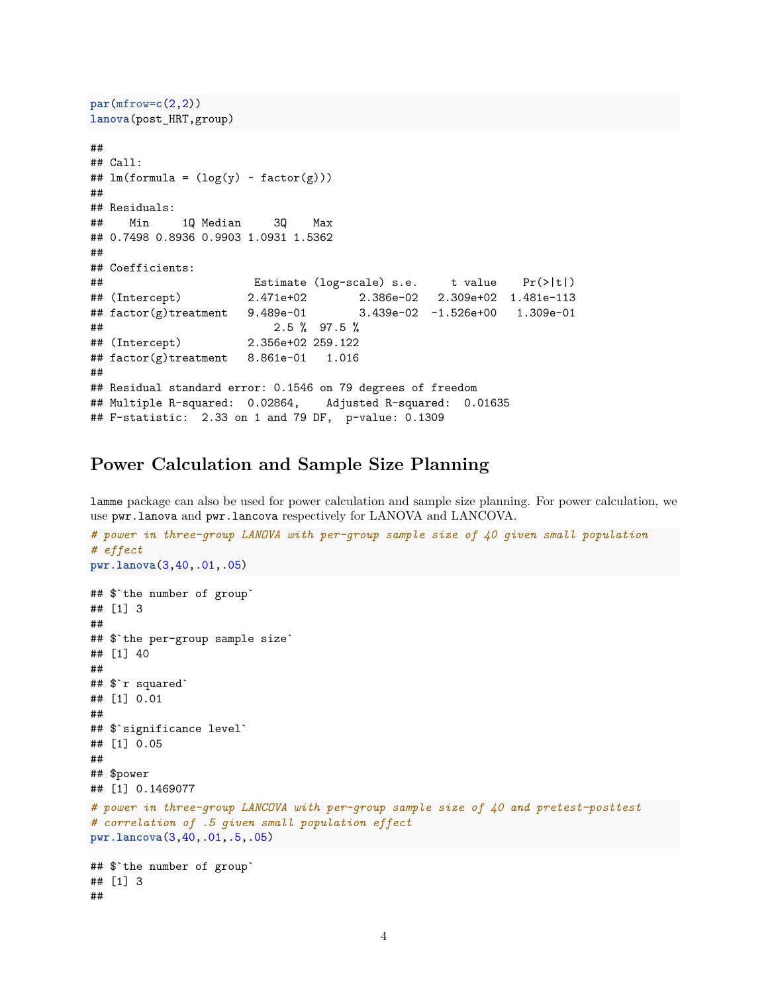```
par(mfrow=c(2,2))
lanova(post_HRT,group)
##
## Call:
## lm(formula = (log(y) \sim factor(g)))##
## Residuals:
## Min 1Q Median 3Q Max
## 0.7498 0.8936 0.9903 1.0931 1.5362
##
## Coefficients:
## Estimate (log-scale) s.e. t value Pr(>|t|)
## (Intercept) 2.471e+02 2.386e-02 2.309e+02 1.481e-113
## factor(g)treatment 9.489e-01 3.439e-02 -1.526e+00 1.309e-01
## 2.5 % 97.5 %
## (Intercept) 2.356e+02 259.122
## factor(g)treatment 8.861e-01 1.016
##
## Residual standard error: 0.1546 on 79 degrees of freedom
## Multiple R-squared: 0.02864, Adjusted R-squared: 0.01635
## F-statistic: 2.33 on 1 and 79 DF, p-value: 0.1309
```
### **Power Calculation and Sample Size Planning**

lamme package can also be used for power calculation and sample size planning. For power calculation, we use pwr.lanova and pwr.lancova respectively for LANOVA and LANCOVA.

```
# power in three-group LANOVA with per-group sample size of 40 given small population
# effect
pwr.lanova(3,40,.01,.05)
## $`the number of group`
## [1] 3
##
## $`the per-group sample size`
## [1] 40
##
## $`r squared`
## [1] 0.01
##
## $`significance level`
## [1] 0.05
##
## $power
## [1] 0.1469077
# power in three-group LANCOVA with per-group sample size of 40 and pretest-posttest
# correlation of .5 given small population effect
pwr.lancova(3,40,.01,.5,.05)
## $`the number of group`
## [1] 3
##
```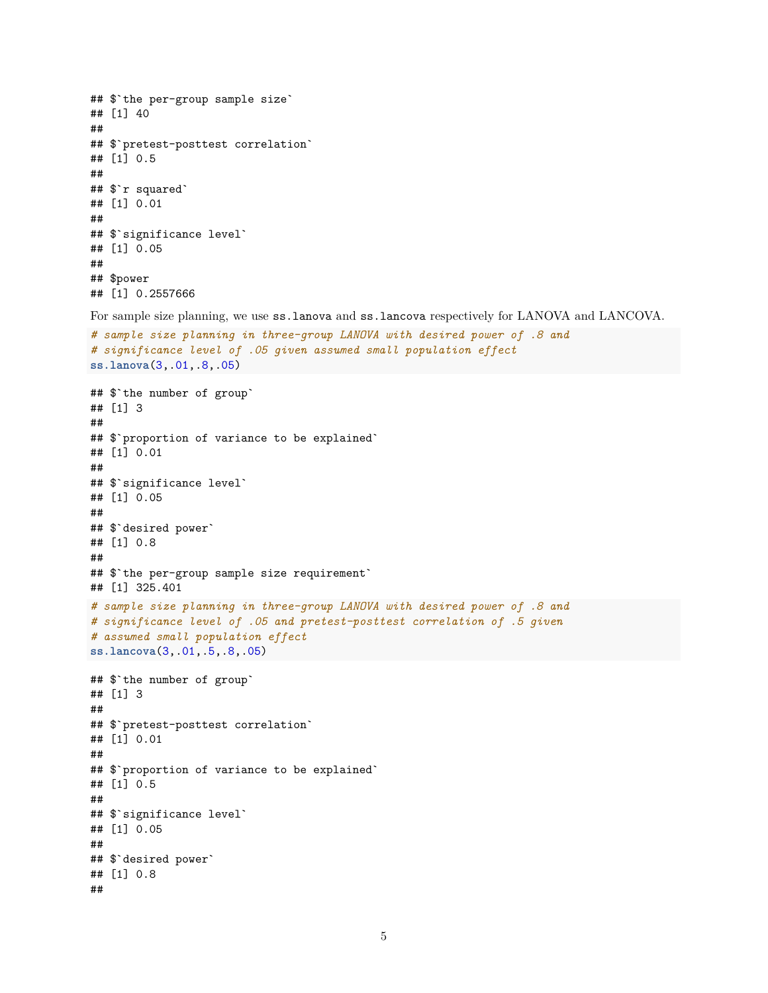```
## $`the per-group sample size`
## [1] 40
##
## $`pretest-posttest correlation`
## [1] 0.5
##
## $`r squared`
## [1] 0.01
##
## $`significance level`
## [1] 0.05
##
## $power
## [1] 0.2557666
```
For sample size planning, we use ss.lanova and ss.lancova respectively for LANOVA and LANCOVA.

```
# sample size planning in three-group LANOVA with desired power of .8 and
# significance level of .05 given assumed small population effect
ss.lanova(3,.01,.8,.05)
```

```
## $`the number of group`
## [1] 3
##
## $`proportion of variance to be explained`
## [1] 0.01
##
## $`significance level`
## [1] 0.05
##
## $`desired power`
## [1] 0.8
##
## $`the per-group sample size requirement`
## [1] 325.401
# sample size planning in three-group LANOVA with desired power of .8 and
# significance level of .05 and pretest-posttest correlation of .5 given
# assumed small population effect
ss.lancova(3,.01,.5,.8,.05)
## $`the number of group`
## [1] 3
##
## $`pretest-posttest correlation`
## [1] 0.01
##
## $`proportion of variance to be explained`
## [1] 0.5
##
## $`significance level`
## [1] 0.05
##
## $`desired power`
## [1] 0.8
##
```